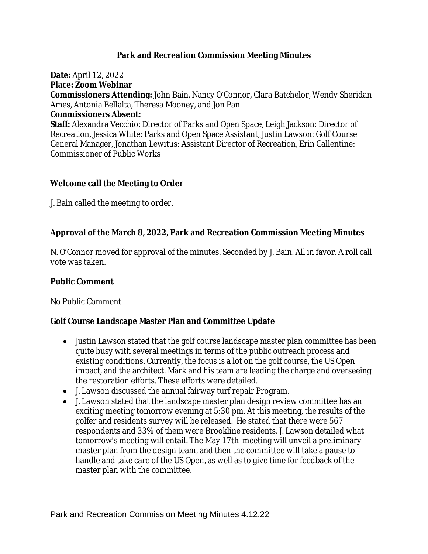### **Park and Recreation Commission Meeting Minutes**

**Date:** April 12, 2022

**Place: Zoom Webinar**

**Commissioners Attending:** John Bain, Nancy O'Connor, Clara Batchelor, Wendy Sheridan Ames, Antonia Bellalta, Theresa Mooney, and Jon Pan

#### **Commissioners Absent:**

**Staff:** Alexandra Vecchio: Director of Parks and Open Space, Leigh Jackson: Director of Recreation, Jessica White: Parks and Open Space Assistant, Justin Lawson: Golf Course General Manager, Jonathan Lewitus: Assistant Director of Recreation, Erin Gallentine: Commissioner of Public Works

### **Welcome call the Meeting to Order**

J. Bain called the meeting to order.

# **Approval of the March 8, 2022, Park and Recreation Commission Meeting Minutes**

N. O'Connor moved for approval of the minutes. Seconded by J. Bain. All in favor. A roll call vote was taken.

### **Public Comment**

No Public Comment

# **Golf Course Landscape Master Plan and Committee Update**

- Justin Lawson stated that the golf course landscape master plan committee has been quite busy with several meetings in terms of the public outreach process and existing conditions. Currently, the focus is a lot on the golf course, the US Open impact, and the architect. Mark and his team are leading the charge and overseeing the restoration efforts. These efforts were detailed.
- J. Lawson discussed the annual fairway turf repair Program.
- J. Lawson stated that the landscape master plan design review committee has an exciting meeting tomorrow evening at 5:30 pm. At this meeting, the results of the golfer and residents survey will be released. He stated that there were 567 respondents and 33% of them were Brookline residents. J. Lawson detailed what tomorrow's meeting will entail. The May 17th meeting will unveil a preliminary master plan from the design team, and then the committee will take a pause to handle and take care of the US Open, as well as to give time for feedback of the master plan with the committee.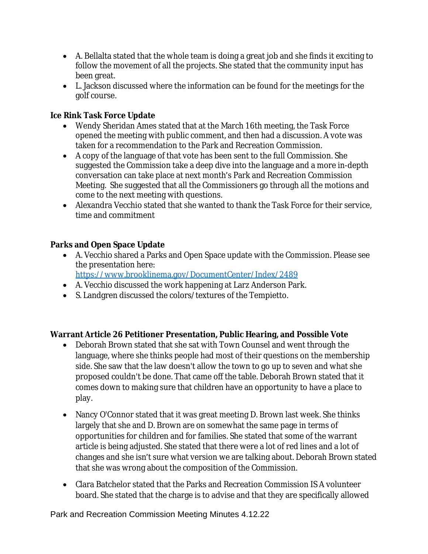- A. Bellalta stated that the whole team is doing a great job and she finds it exciting to follow the movement of all the projects. She stated that the community input has been great.
- L. Jackson discussed where the information can be found for the meetings for the golf course.

# **Ice Rink Task Force Update**

- Wendy Sheridan Ames stated that at the March 16th meeting, the Task Force opened the meeting with public comment, and then had a discussion. A vote was taken for a recommendation to the Park and Recreation Commission.
- A copy of the language of that vote has been sent to the full Commission. She suggested the Commission take a deep dive into the language and a more in-depth conversation can take place at next month's Park and Recreation Commission Meeting. She suggested that all the Commissioners go through all the motions and come to the next meeting with questions.
- Alexandra Vecchio stated that she wanted to thank the Task Force for their service, time and commitment

# **Parks and Open Space Update**

 A. Vecchio shared a Parks and Open Space update with the Commission. Please see the presentation here:

<https://www.brooklinema.gov/DocumentCenter/Index/2489>

- A. Vecchio discussed the work happening at Larz Anderson Park.
- S. Landgren discussed the colors/textures of the Tempietto.

# **Warrant Article 26 Petitioner Presentation, Public Hearing, and Possible Vote**

- Deborah Brown stated that she sat with Town Counsel and went through the language, where she thinks people had most of their questions on the membership side. She saw that the law doesn't allow the town to go up to seven and what she proposed couldn't be done. That came off the table. Deborah Brown stated that it comes down to making sure that children have an opportunity to have a place to play.
- Nancy O'Connor stated that it was great meeting D. Brown last week. She thinks largely that she and D. Brown are on somewhat the same page in terms of opportunities for children and for families. She stated that some of the warrant article is being adjusted. She stated that there were a lot of red lines and a lot of changes and she isn't sure what version we are talking about. Deborah Brown stated that she was wrong about the composition of the Commission.
- Clara Batchelor stated that the Parks and Recreation Commission IS A volunteer board. She stated that the charge is to advise and that they are specifically allowed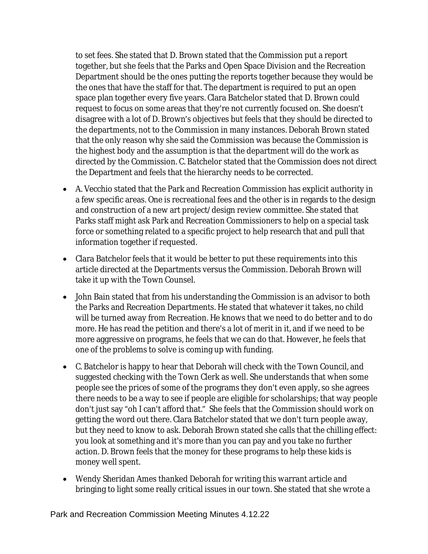to set fees. She stated that D. Brown stated that the Commission put a report together, but she feels that the Parks and Open Space Division and the Recreation Department should be the ones putting the reports together because they would be the ones that have the staff for that. The department is required to put an open space plan together every five years. Clara Batchelor stated that D. Brown could request to focus on some areas that they're not currently focused on. She doesn't disagree with a lot of D. Brown's objectives but feels that they should be directed to the departments, not to the Commission in many instances. Deborah Brown stated that the only reason why she said the Commission was because the Commission is the highest body and the assumption is that the department will do the work as directed by the Commission. C. Batchelor stated that the Commission does not direct the Department and feels that the hierarchy needs to be corrected.

- A. Vecchio stated that the Park and Recreation Commission has explicit authority in a few specific areas. One is recreational fees and the other is in regards to the design and construction of a new art project/design review committee. She stated that Parks staff might ask Park and Recreation Commissioners to help on a special task force or something related to a specific project to help research that and pull that information together if requested.
- Clara Batchelor feels that it would be better to put these requirements into this article directed at the Departments versus the Commission. Deborah Brown will take it up with the Town Counsel.
- John Bain stated that from his understanding the Commission is an advisor to both the Parks and Recreation Departments. He stated that whatever it takes, no child will be turned away from Recreation. He knows that we need to do better and to do more. He has read the petition and there's a lot of merit in it, and if we need to be more aggressive on programs, he feels that we can do that. However, he feels that one of the problems to solve is coming up with funding.
- C. Batchelor is happy to hear that Deborah will check with the Town Council, and suggested checking with the Town Clerk as well. She understands that when some people see the prices of some of the programs they don't even apply, so she agrees there needs to be a way to see if people are eligible for scholarships; that way people don't just say "oh I can't afford that." She feels that the Commission should work on getting the word out there. Clara Batchelor stated that we don't turn people away, but they need to know to ask. Deborah Brown stated she calls that the chilling effect: you look at something and it's more than you can pay and you take no further action. D. Brown feels that the money for these programs to help these kids is money well spent.
- Wendy Sheridan Ames thanked Deborah for writing this warrant article and bringing to light some really critical issues in our town. She stated that she wrote a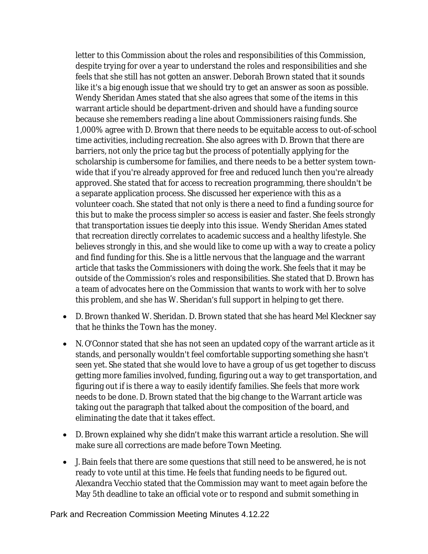letter to this Commission about the roles and responsibilities of this Commission, despite trying for over a year to understand the roles and responsibilities and she feels that she still has not gotten an answer. Deborah Brown stated that it sounds like it's a big enough issue that we should try to get an answer as soon as possible. Wendy Sheridan Ames stated that she also agrees that some of the items in this warrant article should be department-driven and should have a funding source because she remembers reading a line about Commissioners raising funds. She 1,000% agree with D. Brown that there needs to be equitable access to out-of-school time activities, including recreation. She also agrees with D. Brown that there are barriers, not only the price tag but the process of potentially applying for the scholarship is cumbersome for families, and there needs to be a better system townwide that if you're already approved for free and reduced lunch then you're already approved. She stated that for access to recreation programming, there shouldn't be a separate application process. She discussed her experience with this as a volunteer coach. She stated that not only is there a need to find a funding source for this but to make the process simpler so access is easier and faster. She feels strongly that transportation issues tie deeply into this issue. Wendy Sheridan Ames stated that recreation directly correlates to academic success and a healthy lifestyle. She believes strongly in this, and she would like to come up with a way to create a policy and find funding for this. She is a little nervous that the language and the warrant article that tasks the Commissioners with doing the work. She feels that it may be outside of the Commission's roles and responsibilities. She stated that D. Brown has a team of advocates here on the Commission that wants to work with her to solve this problem, and she has W. Sheridan's full support in helping to get there.

- D. Brown thanked W. Sheridan. D. Brown stated that she has heard Mel Kleckner say that he thinks the Town has the money.
- N. O'Connor stated that she has not seen an updated copy of the warrant article as it stands, and personally wouldn't feel comfortable supporting something she hasn't seen yet. She stated that she would love to have a group of us get together to discuss getting more families involved, funding, figuring out a way to get transportation, and figuring out if is there a way to easily identify families. She feels that more work needs to be done. D. Brown stated that the big change to the Warrant article was taking out the paragraph that talked about the composition of the board, and eliminating the date that it takes effect.
- D. Brown explained why she didn't make this warrant article a resolution. She will make sure all corrections are made before Town Meeting.
- J. Bain feels that there are some questions that still need to be answered, he is not ready to vote until at this time. He feels that funding needs to be figured out. Alexandra Vecchio stated that the Commission may want to meet again before the May 5th deadline to take an official vote or to respond and submit something in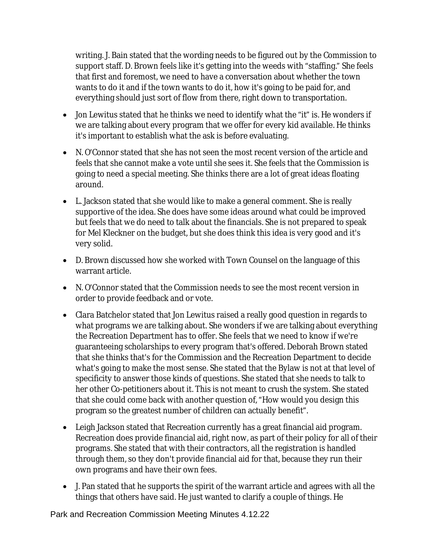writing. J. Bain stated that the wording needs to be figured out by the Commission to support staff. D. Brown feels like it's getting into the weeds with "staffing." She feels that first and foremost, we need to have a conversation about whether the town wants to do it and if the town wants to do it, how it's going to be paid for, and everything should just sort of flow from there, right down to transportation.

- Jon Lewitus stated that he thinks we need to identify what the "it" is. He wonders if we are talking about every program that we offer for every kid available. He thinks it's important to establish what the ask is before evaluating.
- N. O'Connor stated that she has not seen the most recent version of the article and feels that she cannot make a vote until she sees it. She feels that the Commission is going to need a special meeting. She thinks there are a lot of great ideas floating around.
- L. Jackson stated that she would like to make a general comment. She is really supportive of the idea. She does have some ideas around what could be improved but feels that we do need to talk about the financials. She is not prepared to speak for Mel Kleckner on the budget, but she does think this idea is very good and it's very solid.
- D. Brown discussed how she worked with Town Counsel on the language of this warrant article.
- N. O'Connor stated that the Commission needs to see the most recent version in order to provide feedback and or vote.
- Clara Batchelor stated that Jon Lewitus raised a really good question in regards to what programs we are talking about. She wonders if we are talking about everything the Recreation Department has to offer. She feels that we need to know if we're guaranteeing scholarships to every program that's offered. Deborah Brown stated that she thinks that's for the Commission and the Recreation Department to decide what's going to make the most sense. She stated that the Bylaw is not at that level of specificity to answer those kinds of questions. She stated that she needs to talk to her other Co-petitioners about it. This is not meant to crush the system. She stated that she could come back with another question of, "How would you design this program so the greatest number of children can actually benefit".
- Leigh Jackson stated that Recreation currently has a great financial aid program. Recreation does provide financial aid, right now, as part of their policy for all of their programs. She stated that with their contractors, all the registration is handled through them, so they don't provide financial aid for that, because they run their own programs and have their own fees.
- J. Pan stated that he supports the spirit of the warrant article and agrees with all the things that others have said. He just wanted to clarify a couple of things. He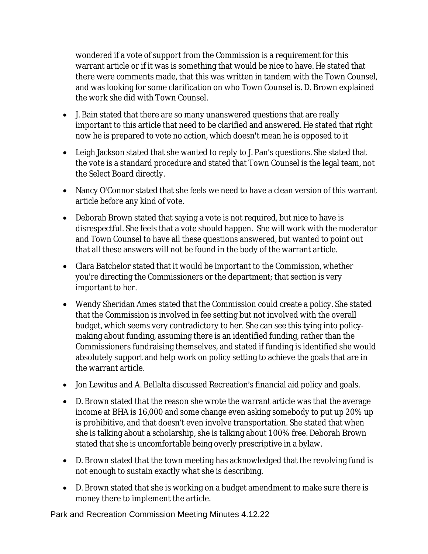wondered if a vote of support from the Commission is a requirement for this warrant article or if it was is something that would be nice to have. He stated that there were comments made, that this was written in tandem with the Town Counsel, and was looking for some clarification on who Town Counsel is. D. Brown explained the work she did with Town Counsel.

- J. Bain stated that there are so many unanswered questions that are really important to this article that need to be clarified and answered. He stated that right now he is prepared to vote no action, which doesn't mean he is opposed to it
- Leigh Jackson stated that she wanted to reply to J. Pan's questions. She stated that the vote is a standard procedure and stated that Town Counsel is the legal team, not the Select Board directly.
- Nancy O'Connor stated that she feels we need to have a clean version of this warrant article before any kind of vote.
- Deborah Brown stated that saying a vote is not required, but nice to have is disrespectful. She feels that a vote should happen. She will work with the moderator and Town Counsel to have all these questions answered, but wanted to point out that all these answers will not be found in the body of the warrant article.
- Clara Batchelor stated that it would be important to the Commission, whether you're directing the Commissioners or the department; that section is very important to her.
- Wendy Sheridan Ames stated that the Commission could create a policy. She stated that the Commission is involved in fee setting but not involved with the overall budget, which seems very contradictory to her. She can see this tying into policymaking about funding, assuming there is an identified funding, rather than the Commissioners fundraising themselves, and stated if funding is identified she would absolutely support and help work on policy setting to achieve the goals that are in the warrant article.
- Jon Lewitus and A. Bellalta discussed Recreation's financial aid policy and goals.
- D. Brown stated that the reason she wrote the warrant article was that the average income at BHA is 16,000 and some change even asking somebody to put up 20% up is prohibitive, and that doesn't even involve transportation. She stated that when she is talking about a scholarship, she is talking about 100% free. Deborah Brown stated that she is uncomfortable being overly prescriptive in a bylaw.
- D. Brown stated that the town meeting has acknowledged that the revolving fund is not enough to sustain exactly what she is describing.
- D. Brown stated that she is working on a budget amendment to make sure there is money there to implement the article.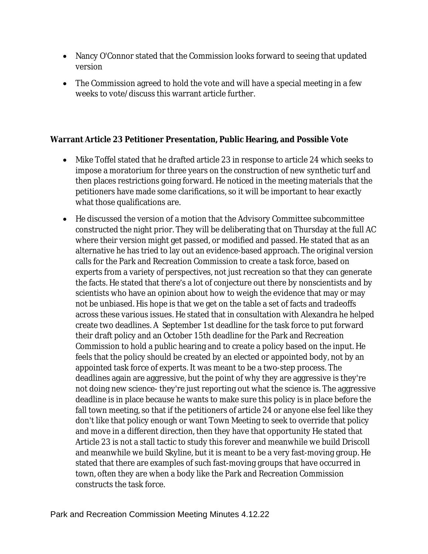- Nancy O'Connor stated that the Commission looks forward to seeing that updated version
- The Commission agreed to hold the vote and will have a special meeting in a few weeks to vote/discuss this warrant article further.

# **Warrant Article 23 Petitioner Presentation, Public Hearing, and Possible Vote**

- Mike Toffel stated that he drafted article 23 in response to article 24 which seeks to impose a moratorium for three years on the construction of new synthetic turf and then places restrictions going forward. He noticed in the meeting materials that the petitioners have made some clarifications, so it will be important to hear exactly what those qualifications are.
- He discussed the version of a motion that the Advisory Committee subcommittee constructed the night prior. They will be deliberating that on Thursday at the full AC where their version might get passed, or modified and passed. He stated that as an alternative he has tried to lay out an evidence-based approach. The original version calls for the Park and Recreation Commission to create a task force, based on experts from a variety of perspectives, not just recreation so that they can generate the facts. He stated that there's a lot of conjecture out there by nonscientists and by scientists who have an opinion about how to weigh the evidence that may or may not be unbiased. His hope is that we get on the table a set of facts and tradeoffs across these various issues. He stated that in consultation with Alexandra he helped create two deadlines. A September 1st deadline for the task force to put forward their draft policy and an October 15th deadline for the Park and Recreation Commission to hold a public hearing and to create a policy based on the input. He feels that the policy should be created by an elected or appointed body, not by an appointed task force of experts. It was meant to be a two-step process. The deadlines again are aggressive, but the point of why they are aggressive is they're not doing new science- they're just reporting out what the science is. The aggressive deadline is in place because he wants to make sure this policy is in place before the fall town meeting, so that if the petitioners of article 24 or anyone else feel like they don't like that policy enough or want Town Meeting to seek to override that policy and move in a different direction, then they have that opportunity He stated that Article 23 is not a stall tactic to study this forever and meanwhile we build Driscoll and meanwhile we build Skyline, but it is meant to be a very fast-moving group. He stated that there are examples of such fast-moving groups that have occurred in town, often they are when a body like the Park and Recreation Commission constructs the task force.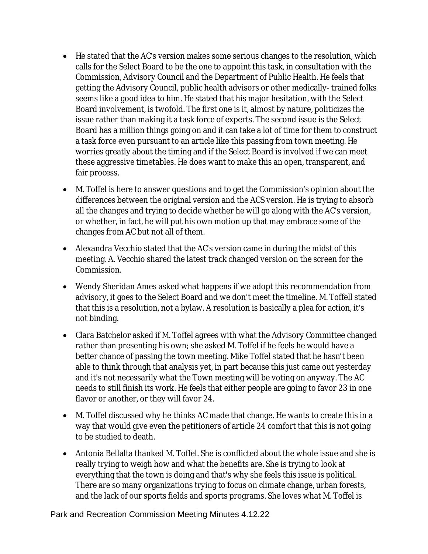- He stated that the AC's version makes some serious changes to the resolution, which calls for the Select Board to be the one to appoint this task, in consultation with the Commission, Advisory Council and the Department of Public Health. He feels that getting the Advisory Council, public health advisors or other medically- trained folks seems like a good idea to him. He stated that his major hesitation, with the Select Board involvement, is twofold. The first one is it, almost by nature, politicizes the issue rather than making it a task force of experts. The second issue is the Select Board has a million things going on and it can take a lot of time for them to construct a task force even pursuant to an article like this passing from town meeting. He worries greatly about the timing and if the Select Board is involved if we can meet these aggressive timetables. He does want to make this an open, transparent, and fair process.
- M. Toffel is here to answer questions and to get the Commission's opinion about the differences between the original version and the ACS version. He is trying to absorb all the changes and trying to decide whether he will go along with the AC's version, or whether, in fact, he will put his own motion up that may embrace some of the changes from AC but not all of them.
- Alexandra Vecchio stated that the AC's version came in during the midst of this meeting. A. Vecchio shared the latest track changed version on the screen for the Commission.
- Wendy Sheridan Ames asked what happens if we adopt this recommendation from advisory, it goes to the Select Board and we don't meet the timeline. M. Toffell stated that this is a resolution, not a bylaw. A resolution is basically a plea for action, it's not binding.
- Clara Batchelor asked if M. Toffel agrees with what the Advisory Committee changed rather than presenting his own; she asked M. Toffel if he feels he would have a better chance of passing the town meeting. Mike Toffel stated that he hasn't been able to think through that analysis yet, in part because this just came out yesterday and it's not necessarily what the Town meeting will be voting on anyway. The AC needs to still finish its work. He feels that either people are going to favor 23 in one flavor or another, or they will favor 24.
- M. Toffel discussed why he thinks AC made that change. He wants to create this in a way that would give even the petitioners of article 24 comfort that this is not going to be studied to death.
- Antonia Bellalta thanked M. Toffel. She is conflicted about the whole issue and she is really trying to weigh how and what the benefits are. She is trying to look at everything that the town is doing and that's why she feels this issue is political. There are so many organizations trying to focus on climate change, urban forests, and the lack of our sports fields and sports programs. She loves what M. Toffel is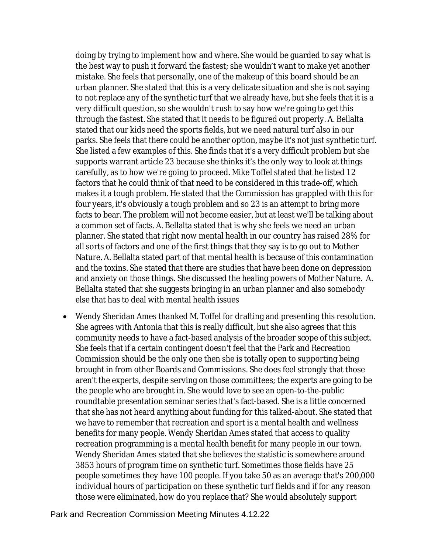doing by trying to implement how and where. She would be guarded to say what is the best way to push it forward the fastest; she wouldn't want to make yet another mistake. She feels that personally, one of the makeup of this board should be an urban planner. She stated that this is a very delicate situation and she is not saying to not replace any of the synthetic turf that we already have, but she feels that it is a very difficult question, so she wouldn't rush to say how we're going to get this through the fastest. She stated that it needs to be figured out properly. A. Bellalta stated that our kids need the sports fields, but we need natural turf also in our parks. She feels that there could be another option, maybe it's not just synthetic turf. She listed a few examples of this. She finds that it's a very difficult problem but she supports warrant article 23 because she thinks it's the only way to look at things carefully, as to how we're going to proceed. Mike Toffel stated that he listed 12 factors that he could think of that need to be considered in this trade-off, which makes it a tough problem. He stated that the Commission has grappled with this for four years, it's obviously a tough problem and so 23 is an attempt to bring more facts to bear. The problem will not become easier, but at least we'll be talking about a common set of facts. A. Bellalta stated that is why she feels we need an urban planner. She stated that right now mental health in our country has raised 28% for all sorts of factors and one of the first things that they say is to go out to Mother Nature. A. Bellalta stated part of that mental health is because of this contamination and the toxins. She stated that there are studies that have been done on depression and anxiety on those things. She discussed the healing powers of Mother Nature. A. Bellalta stated that she suggests bringing in an urban planner and also somebody else that has to deal with mental health issues

 Wendy Sheridan Ames thanked M. Toffel for drafting and presenting this resolution. She agrees with Antonia that this is really difficult, but she also agrees that this community needs to have a fact-based analysis of the broader scope of this subject. She feels that if a certain contingent doesn't feel that the Park and Recreation Commission should be the only one then she is totally open to supporting being brought in from other Boards and Commissions. She does feel strongly that those aren't the experts, despite serving on those committees; the experts are going to be the people who are brought in. She would love to see an open-to-the-public roundtable presentation seminar series that's fact-based. She is a little concerned that she has not heard anything about funding for this talked-about. She stated that we have to remember that recreation and sport is a mental health and wellness benefits for many people. Wendy Sheridan Ames stated that access to quality recreation programming is a mental health benefit for many people in our town. Wendy Sheridan Ames stated that she believes the statistic is somewhere around 3853 hours of program time on synthetic turf. Sometimes those fields have 25 people sometimes they have 100 people. If you take 50 as an average that's 200,000 individual hours of participation on these synthetic turf fields and if for any reason those were eliminated, how do you replace that? She would absolutely support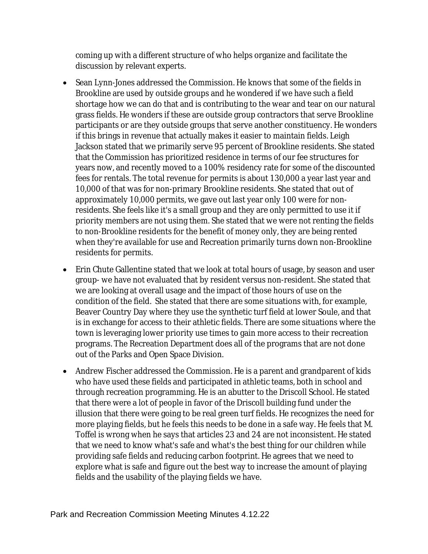coming up with a different structure of who helps organize and facilitate the discussion by relevant experts.

- Sean Lynn-Jones addressed the Commission. He knows that some of the fields in Brookline are used by outside groups and he wondered if we have such a field shortage how we can do that and is contributing to the wear and tear on our natural grass fields. He wonders if these are outside group contractors that serve Brookline participants or are they outside groups that serve another constituency. He wonders if this brings in revenue that actually makes it easier to maintain fields. Leigh Jackson stated that we primarily serve 95 percent of Brookline residents. She stated that the Commission has prioritized residence in terms of our fee structures for years now, and recently moved to a 100% residency rate for some of the discounted fees for rentals. The total revenue for permits is about 130,000 a year last year and 10,000 of that was for non-primary Brookline residents. She stated that out of approximately 10,000 permits, we gave out last year only 100 were for nonresidents. She feels like it's a small group and they are only permitted to use it if priority members are not using them. She stated that we were not renting the fields to non-Brookline residents for the benefit of money only, they are being rented when they're available for use and Recreation primarily turns down non-Brookline residents for permits.
- Erin Chute Gallentine stated that we look at total hours of usage, by season and user group- we have not evaluated that by resident versus non-resident. She stated that we are looking at overall usage and the impact of those hours of use on the condition of the field. She stated that there are some situations with, for example, Beaver Country Day where they use the synthetic turf field at lower Soule, and that is in exchange for access to their athletic fields. There are some situations where the town is leveraging lower priority use times to gain more access to their recreation programs. The Recreation Department does all of the programs that are not done out of the Parks and Open Space Division.
- Andrew Fischer addressed the Commission. He is a parent and grandparent of kids who have used these fields and participated in athletic teams, both in school and through recreation programming. He is an abutter to the Driscoll School. He stated that there were a lot of people in favor of the Driscoll building fund under the illusion that there were going to be real green turf fields. He recognizes the need for more playing fields, but he feels this needs to be done in a safe way. He feels that M. Toffel is wrong when he says that articles 23 and 24 are not inconsistent. He stated that we need to know what's safe and what's the best thing for our children while providing safe fields and reducing carbon footprint. He agrees that we need to explore what is safe and figure out the best way to increase the amount of playing fields and the usability of the playing fields we have.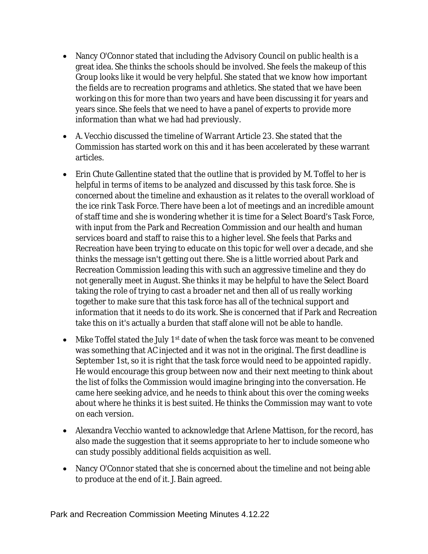- Nancy O'Connor stated that including the Advisory Council on public health is a great idea. She thinks the schools should be involved. She feels the makeup of this Group looks like it would be very helpful. She stated that we know how important the fields are to recreation programs and athletics. She stated that we have been working on this for more than two years and have been discussing it for years and years since. She feels that we need to have a panel of experts to provide more information than what we had had previously.
- A. Vecchio discussed the timeline of Warrant Article 23. She stated that the Commission has started work on this and it has been accelerated by these warrant articles.
- Erin Chute Gallentine stated that the outline that is provided by M. Toffel to her is helpful in terms of items to be analyzed and discussed by this task force. She is concerned about the timeline and exhaustion as it relates to the overall workload of the ice rink Task Force. There have been a lot of meetings and an incredible amount of staff time and she is wondering whether it is time for a Select Board's Task Force, with input from the Park and Recreation Commission and our health and human services board and staff to raise this to a higher level. She feels that Parks and Recreation have been trying to educate on this topic for well over a decade, and she thinks the message isn't getting out there. She is a little worried about Park and Recreation Commission leading this with such an aggressive timeline and they do not generally meet in August. She thinks it may be helpful to have the Select Board taking the role of trying to cast a broader net and then all of us really working together to make sure that this task force has all of the technical support and information that it needs to do its work. She is concerned that if Park and Recreation take this on it's actually a burden that staff alone will not be able to handle.
- $\bullet$  Mike Toffel stated the July 1<sup>st</sup> date of when the task force was meant to be convened was something that AC injected and it was not in the original. The first deadline is September 1st, so it is right that the task force would need to be appointed rapidly. He would encourage this group between now and their next meeting to think about the list of folks the Commission would imagine bringing into the conversation. He came here seeking advice, and he needs to think about this over the coming weeks about where he thinks it is best suited. He thinks the Commission may want to vote on each version.
- Alexandra Vecchio wanted to acknowledge that Arlene Mattison, for the record, has also made the suggestion that it seems appropriate to her to include someone who can study possibly additional fields acquisition as well.
- Nancy O'Connor stated that she is concerned about the timeline and not being able to produce at the end of it. J. Bain agreed.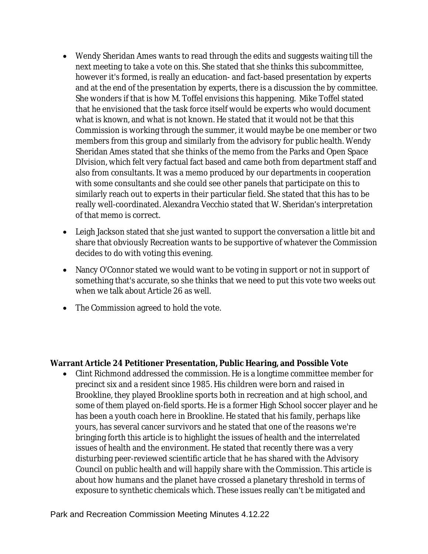- Wendy Sheridan Ames wants to read through the edits and suggests waiting till the next meeting to take a vote on this. She stated that she thinks this subcommittee, however it's formed, is really an education- and fact-based presentation by experts and at the end of the presentation by experts, there is a discussion the by committee. She wonders if that is how M. Toffel envisions this happening. Mike Toffel stated that he envisioned that the task force itself would be experts who would document what is known, and what is not known. He stated that it would not be that this Commission is working through the summer, it would maybe be one member or two members from this group and similarly from the advisory for public health. Wendy Sheridan Ames stated that she thinks of the memo from the Parks and Open Space DIvision, which felt very factual fact based and came both from department staff and also from consultants. It was a memo produced by our departments in cooperation with some consultants and she could see other panels that participate on this to similarly reach out to experts in their particular field. She stated that this has to be really well-coordinated. Alexandra Vecchio stated that W. Sheridan's interpretation of that memo is correct.
- Leigh Jackson stated that she just wanted to support the conversation a little bit and share that obviously Recreation wants to be supportive of whatever the Commission decides to do with voting this evening.
- Nancy O'Connor stated we would want to be voting in support or not in support of something that's accurate, so she thinks that we need to put this vote two weeks out when we talk about Article 26 as well.
- The Commission agreed to hold the vote.

#### **Warrant Article 24 Petitioner Presentation, Public Hearing, and Possible Vote**

 Clint Richmond addressed the commission. He is a longtime committee member for precinct six and a resident since 1985. His children were born and raised in Brookline, they played Brookline sports both in recreation and at high school, and some of them played on-field sports. He is a former High School soccer player and he has been a youth coach here in Brookline. He stated that his family, perhaps like yours, has several cancer survivors and he stated that one of the reasons we're bringing forth this article is to highlight the issues of health and the interrelated issues of health and the environment. He stated that recently there was a very disturbing peer-reviewed scientific article that he has shared with the Advisory Council on public health and will happily share with the Commission. This article is about how humans and the planet have crossed a planetary threshold in terms of exposure to synthetic chemicals which. These issues really can't be mitigated and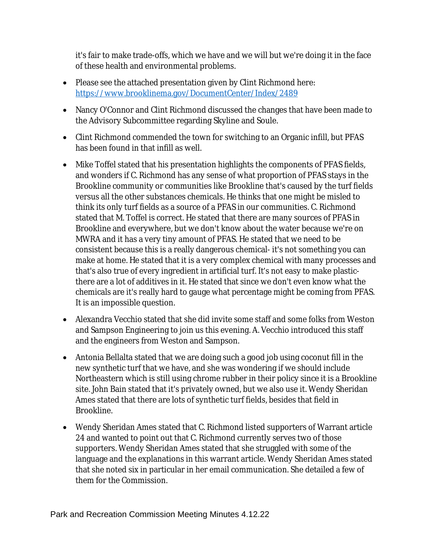it's fair to make trade-offs, which we have and we will but we're doing it in the face of these health and environmental problems.

- Please see the attached presentation given by Clint Richmond here: <https://www.brooklinema.gov/DocumentCenter/Index/2489>
- Nancy O'Connor and Clint Richmond discussed the changes that have been made to the Advisory Subcommittee regarding Skyline and Soule.
- Clint Richmond commended the town for switching to an Organic infill, but PFAS has been found in that infill as well.
- Mike Toffel stated that his presentation highlights the components of PFAS fields, and wonders if C. Richmond has any sense of what proportion of PFAS stays in the Brookline community or communities like Brookline that's caused by the turf fields versus all the other substances chemicals. He thinks that one might be misled to think its only turf fields as a source of a PFAS in our communities. C. Richmond stated that M. Toffel is correct. He stated that there are many sources of PFAS in Brookline and everywhere, but we don't know about the water because we're on MWRA and it has a very tiny amount of PFAS. He stated that we need to be consistent because this is a really dangerous chemical- it's not something you can make at home. He stated that it is a very complex chemical with many processes and that's also true of every ingredient in artificial turf. It's not easy to make plasticthere are a lot of additives in it. He stated that since we don't even know what the chemicals are it's really hard to gauge what percentage might be coming from PFAS. It is an impossible question.
- Alexandra Vecchio stated that she did invite some staff and some folks from Weston and Sampson Engineering to join us this evening. A. Vecchio introduced this staff and the engineers from Weston and Sampson.
- Antonia Bellalta stated that we are doing such a good job using coconut fill in the new synthetic turf that we have, and she was wondering if we should include Northeastern which is still using chrome rubber in their policy since it is a Brookline site. John Bain stated that it's privately owned, but we also use it. Wendy Sheridan Ames stated that there are lots of synthetic turf fields, besides that field in Brookline.
- Wendy Sheridan Ames stated that C. Richmond listed supporters of Warrant article 24 and wanted to point out that C. Richmond currently serves two of those supporters. Wendy Sheridan Ames stated that she struggled with some of the language and the explanations in this warrant article. Wendy Sheridan Ames stated that she noted six in particular in her email communication. She detailed a few of them for the Commission.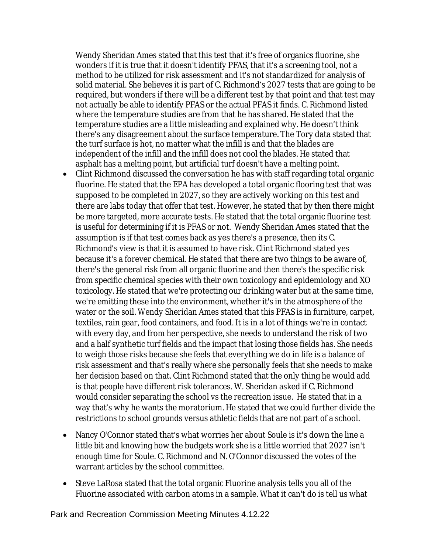Wendy Sheridan Ames stated that this test that it's free of organics fluorine, she wonders if it is true that it doesn't identify PFAS, that it's a screening tool, not a method to be utilized for risk assessment and it's not standardized for analysis of solid material. She believes it is part of C. Richmond's 2027 tests that are going to be required, but wonders if there will be a different test by that point and that test may not actually be able to identify PFAS or the actual PFAS it finds. C. Richmond listed where the temperature studies are from that he has shared. He stated that the temperature studies are a little misleading and explained why. He doesn't think there's any disagreement about the surface temperature. The Tory data stated that the turf surface is hot, no matter what the infill is and that the blades are independent of the infill and the infill does not cool the blades. He stated that asphalt has a melting point, but artificial turf doesn't have a melting point.

- Clint Richmond discussed the conversation he has with staff regarding total organic fluorine. He stated that the EPA has developed a total organic flooring test that was supposed to be completed in 2027, so they are actively working on this test and there are labs today that offer that test. However, he stated that by then there might be more targeted, more accurate tests. He stated that the total organic fluorine test is useful for determining if it is PFAS or not. Wendy Sheridan Ames stated that the assumption is if that test comes back as yes there's a presence, then its C. Richmond's view is that it is assumed to have risk. Clint Richmond stated yes because it's a forever chemical. He stated that there are two things to be aware of, there's the general risk from all organic fluorine and then there's the specific risk from specific chemical species with their own toxicology and epidemiology and XO toxicology. He stated that we're protecting our drinking water but at the same time, we're emitting these into the environment, whether it's in the atmosphere of the water or the soil. Wendy Sheridan Ames stated that this PFAS is in furniture, carpet, textiles, rain gear, food containers, and food. It is in a lot of things we're in contact with every day, and from her perspective, she needs to understand the risk of two and a half synthetic turf fields and the impact that losing those fields has. She needs to weigh those risks because she feels that everything we do in life is a balance of risk assessment and that's really where she personally feels that she needs to make her decision based on that. Clint Richmond stated that the only thing he would add is that people have different risk tolerances. W. Sheridan asked if C. Richmond would consider separating the school vs the recreation issue. He stated that in a way that's why he wants the moratorium. He stated that we could further divide the restrictions to school grounds versus athletic fields that are not part of a school.
- Nancy O'Connor stated that's what worries her about Soule is it's down the line a little bit and knowing how the budgets work she is a little worried that 2027 isn't enough time for Soule. C. Richmond and N. O'Connor discussed the votes of the warrant articles by the school committee.
- Steve LaRosa stated that the total organic Fluorine analysis tells you all of the Fluorine associated with carbon atoms in a sample. What it can't do is tell us what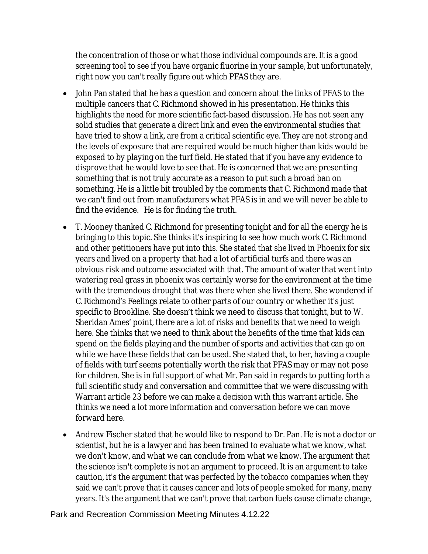the concentration of those or what those individual compounds are. It is a good screening tool to see if you have organic fluorine in your sample, but unfortunately, right now you can't really figure out which PFAS they are.

- John Pan stated that he has a question and concern about the links of PFAS to the multiple cancers that C. Richmond showed in his presentation. He thinks this highlights the need for more scientific fact-based discussion. He has not seen any solid studies that generate a direct link and even the environmental studies that have tried to show a link, are from a critical scientific eye. They are not strong and the levels of exposure that are required would be much higher than kids would be exposed to by playing on the turf field. He stated that if you have any evidence to disprove that he would love to see that. He is concerned that we are presenting something that is not truly accurate as a reason to put such a broad ban on something. He is a little bit troubled by the comments that C. Richmond made that we can't find out from manufacturers what PFAS is in and we will never be able to find the evidence. He is for finding the truth.
- T. Mooney thanked C. Richmond for presenting tonight and for all the energy he is bringing to this topic. She thinks it's inspiring to see how much work C. Richmond and other petitioners have put into this. She stated that she lived in Phoenix for six years and lived on a property that had a lot of artificial turfs and there was an obvious risk and outcome associated with that. The amount of water that went into watering real grass in phoenix was certainly worse for the environment at the time with the tremendous drought that was there when she lived there. She wondered if C. Richmond's Feelings relate to other parts of our country or whether it's just specific to Brookline. She doesn't think we need to discuss that tonight, but to W. Sheridan Ames' point, there are a lot of risks and benefits that we need to weigh here. She thinks that we need to think about the benefits of the time that kids can spend on the fields playing and the number of sports and activities that can go on while we have these fields that can be used. She stated that, to her, having a couple of fields with turf seems potentially worth the risk that PFAS may or may not pose for children. She is in full support of what Mr. Pan said in regards to putting forth a full scientific study and conversation and committee that we were discussing with Warrant article 23 before we can make a decision with this warrant article. She thinks we need a lot more information and conversation before we can move forward here.
- Andrew Fischer stated that he would like to respond to Dr. Pan. He is not a doctor or scientist, but he is a lawyer and has been trained to evaluate what we know, what we don't know, and what we can conclude from what we know. The argument that the science isn't complete is not an argument to proceed. It is an argument to take caution, it's the argument that was perfected by the tobacco companies when they said we can't prove that it causes cancer and lots of people smoked for many, many years. It's the argument that we can't prove that carbon fuels cause climate change,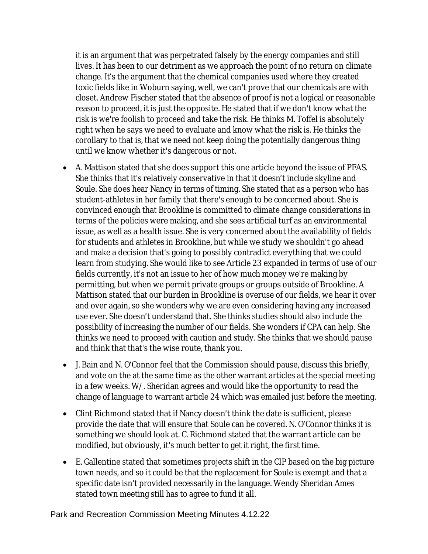it is an argument that was perpetrated falsely by the energy companies and still lives. It has been to our detriment as we approach the point of no return on climate change. It's the argument that the chemical companies used where they created toxic fields like in Woburn saying, well, we can't prove that our chemicals are with closet. Andrew Fischer stated that the absence of proof is not a logical or reasonable reason to proceed, it is just the opposite. He stated that if we don't know what the risk is we're foolish to proceed and take the risk. He thinks M. Toffel is absolutely right when he says we need to evaluate and know what the risk is. He thinks the corollary to that is, that we need not keep doing the potentially dangerous thing until we know whether it's dangerous or not.

- A. Mattison stated that she does support this one article beyond the issue of PFAS. She thinks that it's relatively conservative in that it doesn't include skyline and Soule. She does hear Nancy in terms of timing. She stated that as a person who has student-athletes in her family that there's enough to be concerned about. She is convinced enough that Brookline is committed to climate change considerations in terms of the policies were making, and she sees artificial turf as an environmental issue, as well as a health issue. She is very concerned about the availability of fields for students and athletes in Brookline, but while we study we shouldn't go ahead and make a decision that's going to possibly contradict everything that we could learn from studying. She would like to see Article 23 expanded in terms of use of our fields currently, it's not an issue to her of how much money we're making by permitting, but when we permit private groups or groups outside of Brookline. A Mattison stated that our burden in Brookline is overuse of our fields, we hear it over and over again, so she wonders why we are even considering having any increased use ever. She doesn't understand that. She thinks studies should also include the possibility of increasing the number of our fields. She wonders if CPA can help. She thinks we need to proceed with caution and study. She thinks that we should pause and think that that's the wise route, thank you.
- J. Bain and N. O'Connor feel that the Commission should pause, discuss this briefly, and vote on the at the same time as the other warrant articles at the special meeting in a few weeks. W/. Sheridan agrees and would like the opportunity to read the change of language to warrant article 24 which was emailed just before the meeting.
- Clint Richmond stated that if Nancy doesn't think the date is sufficient, please provide the date that will ensure that Soule can be covered. N. O'Connor thinks it is something we should look at. C. Richmond stated that the warrant article can be modified, but obviously, it's much better to get it right, the first time.
- E. Gallentine stated that sometimes projects shift in the CIP based on the big picture town needs, and so it could be that the replacement for Soule is exempt and that a specific date isn't provided necessarily in the language. Wendy Sheridan Ames stated town meeting still has to agree to fund it all.